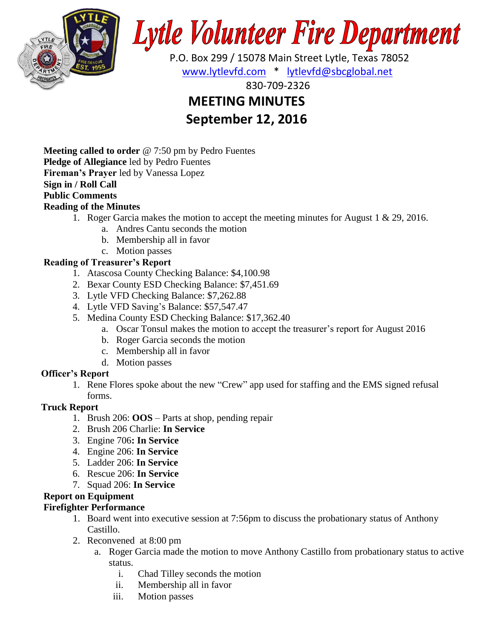

# **Lytle Volunteer Fire Department**

 P.O. Box 299 / 15078 Main Street Lytle, Texas 78052 [www.lytlevfd.com](http://www.lytlevfd.com/) \* [lytlevfd@sbcglobal.net](mailto:lytlevfd@sbcglobal.net)

830-709-2326

## **MEETING MINUTES**

### **September 12, 2016**

**Meeting called to order** @ 7:50 pm by Pedro Fuentes **Pledge of Allegiance** led by Pedro Fuentes **Fireman's Prayer** led by Vanessa Lopez **Sign in / Roll Call Public Comments**

#### **Reading of the Minutes**

- 1. Roger Garcia makes the motion to accept the meeting minutes for August 1 & 29, 2016.
	- a. Andres Cantu seconds the motion
	- b. Membership all in favor
	- c. Motion passes

#### **Reading of Treasurer's Report**

- 1. Atascosa County Checking Balance: \$4,100.98
- 2. Bexar County ESD Checking Balance: \$7,451.69
- 3. Lytle VFD Checking Balance: \$7,262.88
- 4. Lytle VFD Saving's Balance: \$57,547.47
- 5. Medina County ESD Checking Balance: \$17,362.40
	- a. Oscar Tonsul makes the motion to accept the treasurer's report for August 2016
	- b. Roger Garcia seconds the motion
	- c. Membership all in favor
	- d. Motion passes

#### **Officer's Report**

1. Rene Flores spoke about the new "Crew" app used for staffing and the EMS signed refusal forms.

#### **Truck Report**

- 1. Brush 206: **OOS** Parts at shop, pending repair
- 2. Brush 206 Charlie: **In Service**
- 3. Engine 706**: In Service**
- 4. Engine 206: **In Service**
- 5. Ladder 206: **In Service**
- 6. Rescue 206: **In Service**
- 7. Squad 206: **In Service**

#### **Report on Equipment**

#### **Firefighter Performance**

- 1. Board went into executive session at 7:56pm to discuss the probationary status of Anthony Castillo.
- 2. Reconvened at 8:00 pm
	- a. Roger Garcia made the motion to move Anthony Castillo from probationary status to active status.
		- i. Chad Tilley seconds the motion
		- ii. Membership all in favor
		- iii. Motion passes